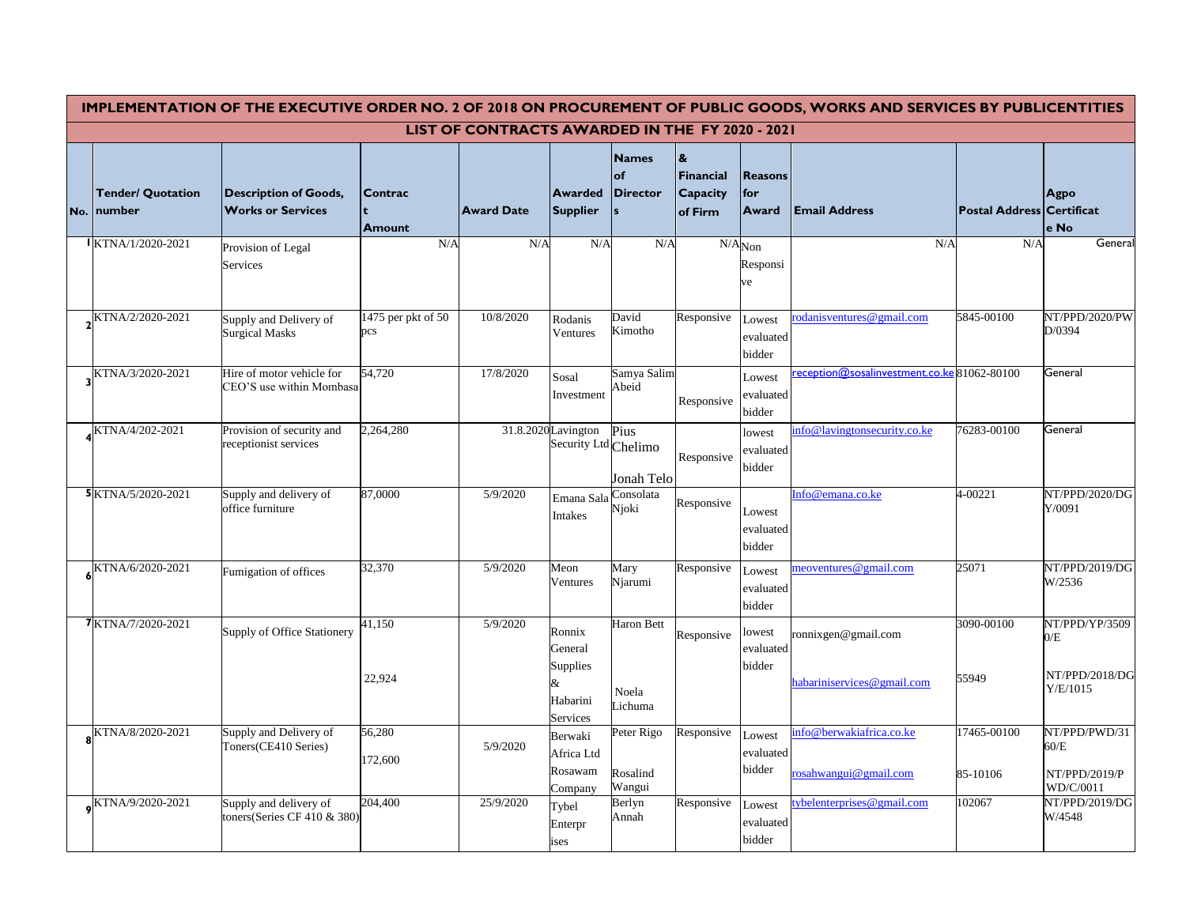| IMPLEMENTATION OF THE EXECUTIVE ORDER NO. 2 OF 2018 ON PROCUREMENT OF PUBLIC GOODS, WORKS AND SERVICES BY PUBLICENTITIES |                                          |                                                           |                                 |                   |                                                                    |                                              |                                                         |                                      |                                                   |                                  |                                                     |
|--------------------------------------------------------------------------------------------------------------------------|------------------------------------------|-----------------------------------------------------------|---------------------------------|-------------------|--------------------------------------------------------------------|----------------------------------------------|---------------------------------------------------------|--------------------------------------|---------------------------------------------------|----------------------------------|-----------------------------------------------------|
| LIST OF CONTRACTS AWARDED IN THE FY 2020 - 2021                                                                          |                                          |                                                           |                                 |                   |                                                                    |                                              |                                                         |                                      |                                                   |                                  |                                                     |
|                                                                                                                          | <b>Tender/ Quotation</b><br>No.   number | <b>Description of Goods,</b><br><b>Works or Services</b>  | <b>Contrac</b><br><b>Amount</b> | <b>Award Date</b> | <b>Awarded</b><br><b>Supplier</b>                                  | <b>Names</b><br> of<br><b>Director</b><br>ls | $\mathbf{g}$<br>Financial<br><b>Capacity</b><br>of Firm | <b>Reasons</b><br>  for<br>Award     | <b>Email Address</b>                              | <b>Postal Address Certificat</b> | <b>Agpo</b><br>e No                                 |
|                                                                                                                          | IKTNA/1/2020-2021                        | Provision of Legal<br>Services                            | N/A                             | N/A               | N/A                                                                | N/A                                          |                                                         | $N/A_{\text{Non}}$<br>Responsi<br>ve | N/A                                               | N/A                              | General                                             |
|                                                                                                                          | KTNA/2/2020-2021                         | Supply and Delivery of<br><b>Surgical Masks</b>           | 1475 per pkt of 50<br>pcs       | 10/8/2020         | Rodanis<br>Ventures                                                | David<br>Kimotho                             | Responsive                                              | Lowest<br>evaluated<br>bidder        | rodanisventures@gmail.com                         | 5845-00100                       | NT/PPD/2020/PW<br>D/0394                            |
|                                                                                                                          | KTNA/3/2020-2021                         | Hire of motor vehicle for<br>CEO'S use within Mombasa     | 54,720                          | 17/8/2020         | Sosal<br>Investment                                                | Samya Salim<br>Abeid                         | Responsive                                              | Lowest<br>evaluated<br>bidder        | reception@sosalinvestment.co.ke81062-80100        |                                  | General                                             |
|                                                                                                                          | KTNA/4/202-2021                          | Provision of security and<br>receptionist services        | 2,264,280                       |                   | 31.8.2020 Lavington<br>Security Ltd Chelimo                        | Pius<br>Jonah Telo                           | Responsive                                              | lowest<br>evaluated<br>bidder        | info@lavingtonsecurity.co.ke                      | 76283-00100                      | General                                             |
|                                                                                                                          | 5 KTNA/5/2020-2021                       | Supply and delivery of<br>office furniture                | 87,0000                         | 5/9/2020          | Emana Sala<br>Intakes                                              | Consolata<br>Njoki                           | Responsive                                              | Lowest<br>evaluated<br>bidder        | Info@emana.co.ke                                  | 4-00221                          | NT/PPD/2020/DG<br>Y/0091                            |
|                                                                                                                          | KTNA/6/2020-2021                         | Fumigation of offices                                     | 32,370                          | 5/9/2020          | Meon<br>Ventures                                                   | Mary<br>Njarumi                              | Responsive                                              | Lowest<br>evaluated<br>bidder        | meoventures@gmail.com                             | 25071                            | NT/PPD/2019/DG<br>W/2536                            |
|                                                                                                                          | 7KTNA/7/2020-2021                        | Supply of Office Stationery                               | 41,150<br>22,924                | 5/9/2020          | Ronnix<br>General<br><b>Supplies</b><br>öΣ<br>Habarini<br>Services | <b>Haron Bett</b><br>Noela<br>ichuma         | Responsive                                              | lowest<br>evaluated<br>bidder        | ronnixgen@gmail.com<br>habariniservices@gmail.com | 3090-00100<br>55949              | NT/PPD/YP/3509<br>0/E<br>NT/PPD/2018/DG<br>Y/E/1015 |
|                                                                                                                          | KTNA/8/2020-2021                         | Supply and Delivery of<br>Toners (CE410 Series)           | 56,280<br>172,600               | 5/9/2020          | Berwaki<br>Africa Ltd<br>Rosawam<br>Company                        | Peter Rigo<br>Rosalind<br>Wangui             | Responsive                                              | Lowest<br>evaluated<br>bidder        | info@berwakiafrica.co.ke<br>rosahwangui@gmail.com | 17465-00100<br>85-10106          | NT/PPD/PWD/31<br>60/E<br>NT/PPD/2019/P<br>WD/C/0011 |
|                                                                                                                          | KTNA/9/2020-2021                         | Supply and delivery of<br>toners (Series CF 410 $\&$ 380) | 204,400                         | 25/9/2020         | Tybel<br>Enterpr<br>ises                                           | Berlyn<br>Annah                              | Responsive                                              | Lowest<br>evaluated<br>bidder        | tybelenterprises@gmail.com                        | 102067                           | NT/PPD/2019/DG<br>W/4548                            |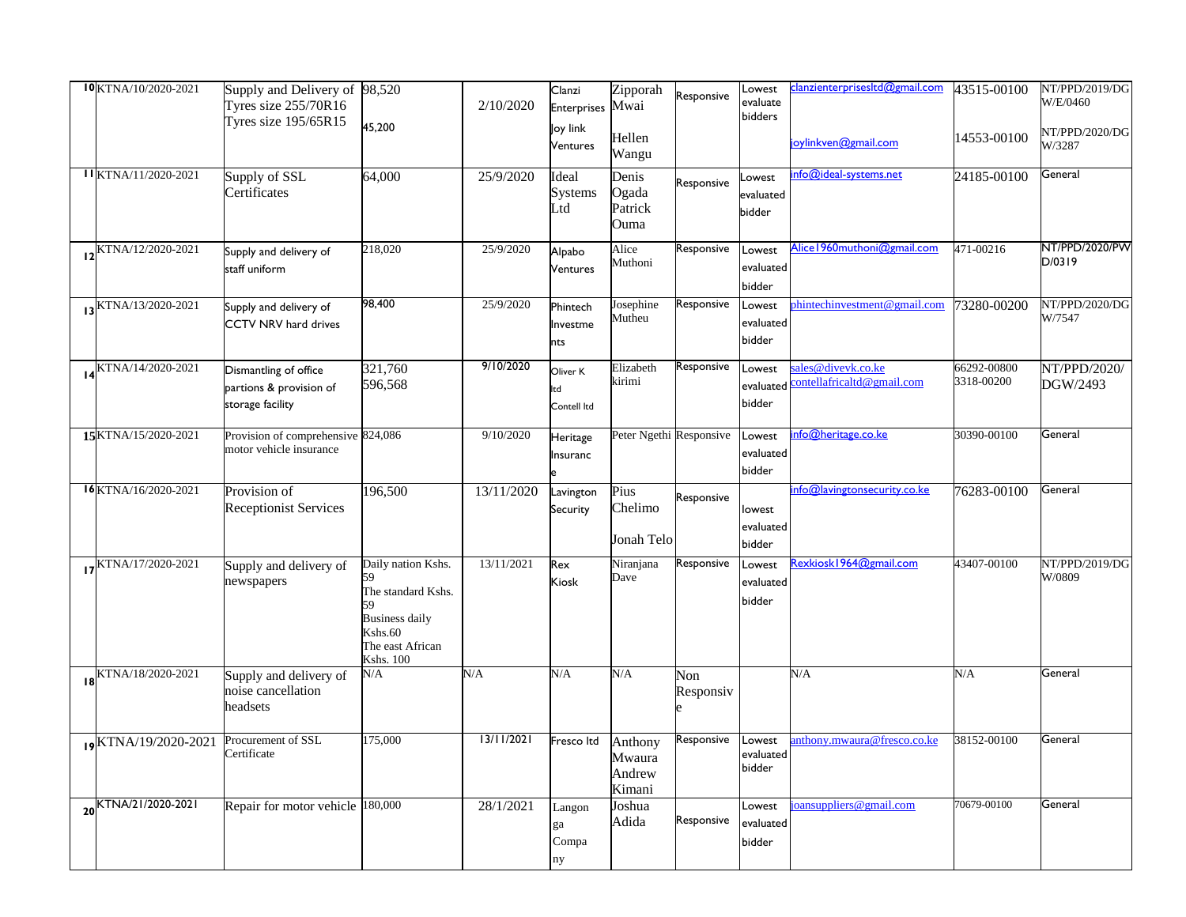| 10KTNA/10/2020-2021               | Supply and Delivery of 98,520<br>Tyres size $255/70R16$<br><b>Tyres size 195/65R15</b> | 45,200                                                                                                               | 2/10/2020  | Clanzi<br><b>Enterprises</b>    | Zipporah<br>Mwai                      | Responsive              | Lowest<br>evaluate<br>bidders | clanzienterprisesItd@gmail.com                             | 43515-00100               | NT/PPD/2019/DG<br>W/E/0460 |
|-----------------------------------|----------------------------------------------------------------------------------------|----------------------------------------------------------------------------------------------------------------------|------------|---------------------------------|---------------------------------------|-------------------------|-------------------------------|------------------------------------------------------------|---------------------------|----------------------------|
|                                   |                                                                                        |                                                                                                                      |            | Joy link<br><b>Ventures</b>     | Hellen<br>Wangu                       |                         |                               | joylinkven@gmail.com                                       | 14553-00100               | NT/PPD/2020/DG<br>W/3287   |
| IIKTNA/11/2020-2021               | Supply of SSL<br>Certificates                                                          | 64,000                                                                                                               | 25/9/2020  | Ideal<br><b>Systems</b><br>Ltd  | Denis<br>Ogada<br>Patrick<br>Ouma     | Responsive              | Lowest<br>evaluated<br>bidder | info@ideal-systems.net                                     | 24185-00100               | General                    |
| $12$ <sup>KTNA/12/2020-2021</sup> | Supply and delivery of<br>staff uniform                                                | 218,020                                                                                                              | 25/9/2020  | Alpabo<br><b>Ventures</b>       | Alice<br>Muthoni                      | Responsive              | Lowest<br>evaluated<br>bidder | Alice   960muthoni@gmail.com                               | 471-00216                 | NT/PPD/2020/PW<br>D/0319   |
| I3 KTNA/13/2020-2021              | Supply and delivery of<br><b>CCTV NRV hard drives</b>                                  | 98,400                                                                                                               | 25/9/2020  | Phintech<br>Investme<br>nts     | Josephine<br>Mutheu                   | Responsive              | Lowest<br>evaluated<br>bidder | phintechinvestment@gmail.com                               | 73280-00200               | NT/PPD/2020/DG<br>W/7547   |
| $14$ <sup>KTNA/14/2020-2021</sup> | Dismantling of office<br>partions & provision of<br>storage facility                   | 321,760<br>596,568                                                                                                   | 9/10/2020  | Oliver K<br>lltd<br>Contell Itd | Elizabeth<br>sirimi                   | Responsive              | Lowest<br>bidder              | sales@divevk.co.ke<br>evaluated contellafricaltd@gmail.com | 66292-00800<br>3318-00200 | NT/PPD/2020/<br>DGW/2493   |
| 15KTNA/15/2020-2021               | Provision of comprehensive 824,086<br>motor vehicle insurance                          |                                                                                                                      | 9/10/2020  | Heritage<br><b>Insuranc</b>     |                                       | Peter Ngethi Responsive | Lowest<br>evaluated<br>bidder | info@heritage.co.ke                                        | 30390-00100               | General                    |
| $16$ KTNA/16/2020-2021            | Provision of<br><b>Receptionist Services</b>                                           | 196,500                                                                                                              | 13/11/2020 | Lavington<br>Security           | Pius<br>Chelimo<br>Jonah Telo         | Responsive              | lowest<br>evaluated<br>bidder | info@lavingtonsecurity.co.ke                               | 76283-00100               | General                    |
| KTNA/17/2020-2021                 | Supply and delivery of<br>newspapers                                                   | Daily nation Kshs.<br>The standard Kshs.<br><b>Business daily</b><br>Kshs.60<br>The east African<br><b>Kshs. 100</b> | 13/11/2021 | Rex<br><b>Kiosk</b>             | Niranjana<br>Dave                     | Responsive              | Lowest<br>evaluated<br>bidder | Rexkiosk 1964@gmail.com                                    | 43407-00100               | NT/PPD/2019/DG<br>W/0809   |
| $18$ <sup>KTNA/18/2020-2021</sup> | Supply and delivery of<br>noise cancellation<br>headsets                               | N/A                                                                                                                  | N/A        | N/A                             | N/A                                   | Non<br>Responsiv        |                               | N/A                                                        | N/A                       | General                    |
| KTNA/19/2020-2021                 | Procurement of SSL<br>Certificate                                                      | 175,000                                                                                                              | 13/11/2021 | Fresco Itd                      | Anthony<br>Mwaura<br>Andrew<br>Kimani | Responsive              | Lowest<br>evaluated<br>bidder | anthony.mwaura@fresco.co.ke                                | 38152-00100               | General                    |
| KTNA/21/2020-2021                 | Repair for motor vehicle                                                               | 180,000                                                                                                              | 28/1/2021  | Langon<br>ga<br>Compa<br>ny     | Joshua<br>Adida                       | Responsive              | Lowest<br>evaluated<br>bidder | joansuppliers@gmail.com                                    | 70679-00100               | General                    |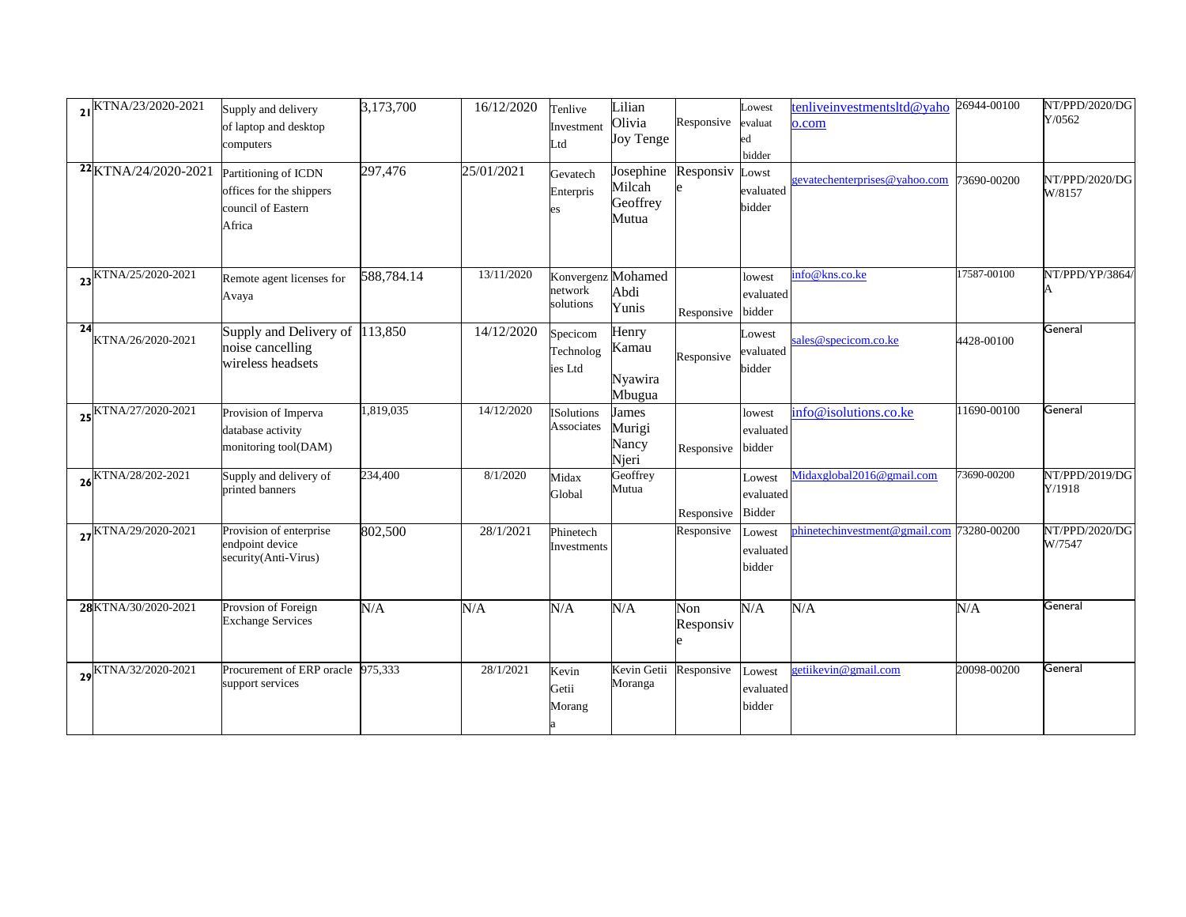|    | 21KTNA/23/2020-2021  | Supply and delivery<br>of laptop and desktop<br>computers                        | 3,173,700  | 16/12/2020 | Tenlive<br>Investment<br>Ltd     | Lilian<br><b>Olivia</b><br><b>Joy Tenge</b> | Responsive             | Lowest<br>evaluat<br>bidder          | tenliveinvestmentsltd@yaho<br>o.com | 26944-00100 | NT/PPD/2020/DG<br>Y/0562 |
|----|----------------------|----------------------------------------------------------------------------------|------------|------------|----------------------------------|---------------------------------------------|------------------------|--------------------------------------|-------------------------------------|-------------|--------------------------|
|    | 22 KTNA/24/2020-2021 | Partitioning of ICDN<br>offices for the shippers<br>council of Eastern<br>Africa | 297,476    | 25/01/2021 | Gevatech<br>Enterpris            | Josephine<br>Milcah<br>Geoffrey<br>Mutua    | Responsiv Lowst        | evaluated<br>bidder                  | gevatechenterprises@yahoo.com       | 73690-00200 | NT/PPD/2020/DG<br>W/8157 |
|    | KTNA/25/2020-2021    | Remote agent licenses for<br>Avaya                                               | 588,784.14 | 13/11/2020 | network<br>solutions             | Konvergenz Mohamed<br>Abdi<br>Yunis         | Responsive             | lowest<br>evaluated<br>bidder        | info@kns.co.ke                      | 17587-00100 | NT/PPD/YP/3864/          |
| 24 | KTNA/26/2020-2021    | Supply and Delivery of<br>noise cancelling<br>wireless headsets                  | 113,850    | 14/12/2020 | Specicom<br>Technolog<br>ies Ltd | Henry<br>Kamau<br>Nyawira<br>Mbugua         | Responsive             | <b>Lowest</b><br>evaluated<br>bidder | sales@specicom.co.ke                | 4428-00100  | General                  |
|    | 25 KTNA/27/2020-2021 | Provision of Imperva<br>database activity<br>monitoring tool(DAM)                | 1,819,035  | 14/12/2020 | <b>ISolutions</b><br>Associates  | James<br>Murigi<br>Nancy<br>Njeri           | Responsive             | lowest<br>evaluated<br>bidder        | info@isolutions.co.ke               | 11690-00100 | General                  |
|    | 26 KTNA/28/202-2021  | Supply and delivery of<br>printed banners                                        | 234,400    | 8/1/2020   | Midax<br>Global                  | Geoffrey<br>Mutua                           | Responsive             | Lowest<br>evaluated<br><b>Bidder</b> | Midaxglobal2016@gmail.com           | 73690-00200 | NT/PPD/2019/DG<br>Y/1918 |
|    | 27KTNA/29/2020-2021  | Provision of enterprise<br>endpoint device<br>security(Anti-Virus)               | 802,500    | 28/1/2021  | Phinetech<br>Investments         |                                             | Responsive             | Lowest<br>evaluated<br>bidder        | phinetechinvestment@gmail.com       | 73280-00200 | NT/PPD/2020/DG<br>W/7547 |
|    | 28KTNA/30/2020-2021  | Provsion of Foreign<br><b>Exchange Services</b>                                  | N/A        | $\rm N/A$  | N/A                              | N/A                                         | Non<br>Responsiv       | N/A                                  | N/A                                 | N/A         | General                  |
|    | KTNA/32/2020-2021    | Procurement of ERP oracle<br>support services                                    | 975,333    | 28/1/2021  | Kevin<br>Getii<br>Morang         | Moranga                                     | Kevin Getii Responsive | Lowest<br>evaluated<br>bidder        | getiikevin@gmail.com                | 20098-00200 | General                  |